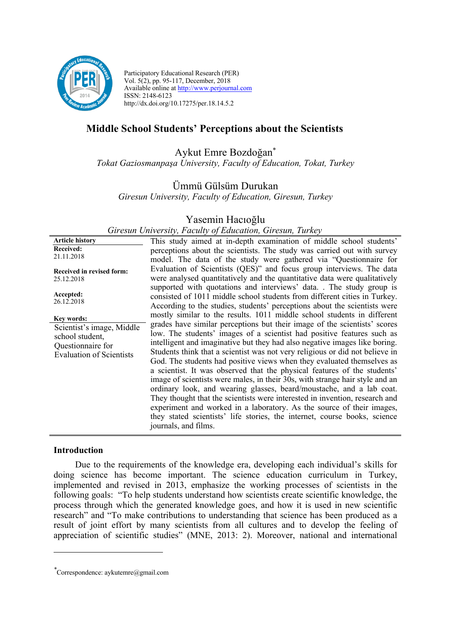

Participatory Educational Research (PER) Vol. 5(2), pp. 95-117, December, 2018 Available online at http://www.perjournal.com ISSN: 2148-6123 http://dx.doi.org/10.17275/per.18.14.5.2

# **Middle School Students' Perceptions about the Scientists**

Aykut Emre Bozdoğan\*

*Tokat Gaziosmanpaşa University, Faculty of Education, Tokat, Turkey*

Ümmü Gülsüm Durukan

*Giresun University, Faculty of Education, Giresun, Turkey*

## Yasemin Hacıoğlu

|  |  | Giresun University, Faculty of Education, Giresun, Turkey |  |
|--|--|-----------------------------------------------------------|--|
|  |  |                                                           |  |
|  |  |                                                           |  |
|  |  |                                                           |  |

**Article history Received:**  21.11.2018 **Received in revised form:**  25.12.2018 **Accepted:** 26.12.2018 This study aimed at in-depth examination of middle school students' perceptions about the scientists. The study was carried out with survey model. The data of the study were gathered via "Questionnaire for Evaluation of Scientists (QES)" and focus group interviews. The data were analysed quantitatively and the quantitative data were qualitatively supported with quotations and interviews' data. . The study group is consisted of 1011 middle school students from different cities in Turkey. According to the studies, students' perceptions about the scientists were mostly similar to the results. 1011 middle school students in different grades have similar perceptions but their image of the scientists' scores low. The students' images of a scientist had positive features such as intelligent and imaginative but they had also negative images like boring. Students think that a scientist was not very religious or did not believe in God. The students had positive views when they evaluated themselves as a scientist. It was observed that the physical features of the students' image of scientists were males, in their 30s, with strange hair style and an ordinary look, and wearing glasses, beard/moustache, and a lab coat. They thought that the scientists were interested in invention, research and experiment and worked in a laboratory. As the source of their images, they stated scientists' life stories, the internet, course books, science journals, and films. **Key words:** Scientist's image, Middle school student, Questionnaire for Evaluation of Scientists

#### **Introduction**

 $\overline{a}$ 

Due to the requirements of the knowledge era, developing each individual's skills for doing science has become important. The science education curriculum in Turkey, implemented and revised in 2013, emphasize the working processes of scientists in the following goals: "To help students understand how scientists create scientific knowledge, the process through which the generated knowledge goes, and how it is used in new scientific research" and "To make contributions to understanding that science has been produced as a result of joint effort by many scientists from all cultures and to develop the feeling of appreciation of scientific studies" (MNE, 2013: 2). Moreover, national and international

*<sup>\*</sup>* Correspondence: aykutemre@gmail.com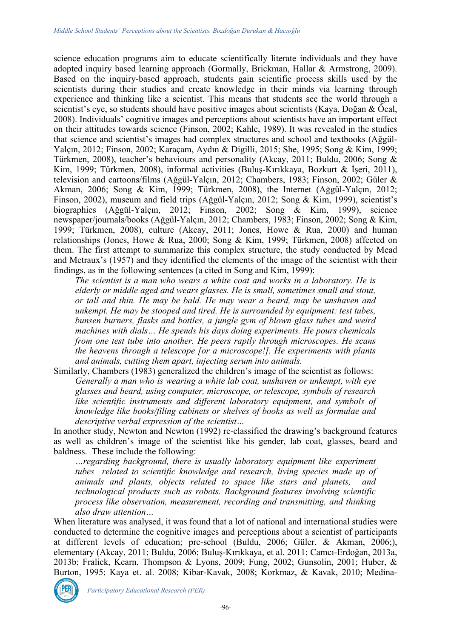science education programs aim to educate scientifically literate individuals and they have adopted inquiry based learning approach (Gormally, Brickman, Hallar & Armstrong, 2009). Based on the inquiry-based approach, students gain scientific process skills used by the scientists during their studies and create knowledge in their minds via learning through experience and thinking like a scientist. This means that students see the world through a scientist's eye, so students should have positive images about scientists (Kaya, Doğan & Öcal, 2008). Individuals' cognitive images and perceptions about scientists have an important effect on their attitudes towards science (Finson, 2002; Kahle, 1989). It was revealed in the studies that science and scientist's images had complex structures and school and textbooks (Ağgül-Yalçın, 2012; Finson, 2002; Karaçam, Aydın & Digilli, 2015; She, 1995; Song & Kim, 1999; Türkmen, 2008), teacher's behaviours and personality (Akcay, 2011; Buldu, 2006; Song & Kim, 1999; Türkmen, 2008), informal activities (Buluş-Kırıkkaya, Bozkurt & İşeri, 2011), television and cartoons/films (Ağgül-Yalçın, 2012; Chambers, 1983; Finson, 2002; Güler & Akman, 2006; Song & Kim, 1999; Türkmen, 2008), the Internet (Ağgül-Yalçın, 2012; Finson, 2002), museum and field trips (Ağgül-Yalçın, 2012; Song & Kim, 1999), scientist's biographies (Ağgül-Yalçın, 2012; Finson, 2002; Song & Kim, 1999), science newspaper/journals/books (Ağgül-Yalçın, 2012; Chambers, 1983; Finson, 2002; Song & Kim, 1999; Türkmen, 2008), culture (Akcay, 2011; Jones, Howe & Rua, 2000) and human relationships (Jones, Howe & Rua, 2000; Song & Kim, 1999; Türkmen, 2008) affected on them. The first attempt to summarize this complex structure, the study conducted by Mead and Metraux's (1957) and they identified the elements of the image of the scientist with their findings, as in the following sentences (a cited in Song and Kim, 1999):

*The scientist is a man who wears a white coat and works in a laboratory. He is elderly or middle aged and wears glasses. He is small, sometimes small and stout, or tall and thin. He may be bald. He may wear a beard, may be unshaven and unkempt. He may be stooped and tired. He is surrounded by equipment: test tubes, bunsen burners, flasks and bottles, a jungle gym of blown glass tubes and weird machines with dials… He spends his days doing experiments. He pours chemicals from one test tube into another. He peers raptly through microscopes. He scans the heavens through a telescope [or a microscope!]. He experiments with plants and animals, cutting them apart, injecting serum into animals.* 

Similarly, Chambers (1983) generalized the children's image of the scientist as follows: *Generally a man who is wearing a white lab coat, unshaven or unkempt, with eye glasses and beard, using computer, microscope, or telescope, symbols of research like scientific instruments and different laboratory equipment, and symbols of knowledge like books/filing cabinets or shelves of books as well as formulae and descriptive verbal expression of the scientist…*

In another study, Newton and Newton (1992) re-classified the drawing's background features as well as children's image of the scientist like his gender, lab coat, glasses, beard and baldness. These include the following:

*…regarding background, there is usually laboratory equipment like experiment tubes related to scientific knowledge and research, living species made up of animals and plants, objects related to space like stars and planets, and technological products such as robots. Background features involving scientific process like observation, measurement, recording and transmitting, and thinking also draw attention…* 

When literature was analysed, it was found that a lot of national and international studies were conducted to determine the cognitive images and perceptions about a scientist of participants at different levels of education; pre-school (Buldu, 2006; Güler, & Akman, 2006;), elementary (Akcay, 2011; Buldu, 2006; Buluş-Kırıkkaya, et al. 2011; Camcı-Erdoğan, 2013a, 2013b; Fralick, Kearn, Thompson & Lyons, 2009; Fung, 2002; Gunsolin, 2001; Huber, & Burton, 1995; Kaya et. al. 2008; Kibar-Kavak, 2008; Korkmaz, & Kavak, 2010; Medina-



*Participatory Educational Research (PER)*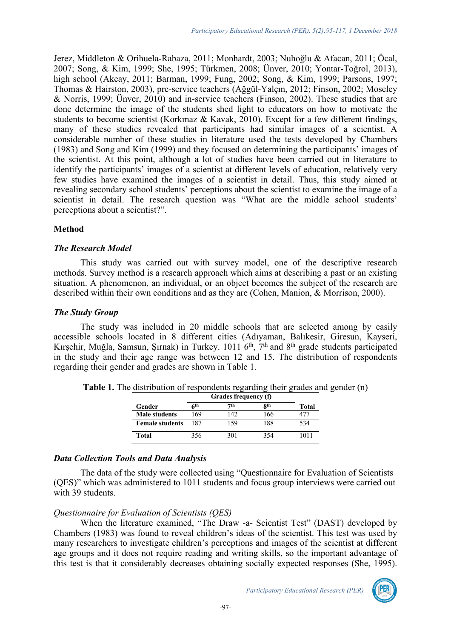Jerez, Middleton & Orihuela-Rabaza, 2011; Monhardt, 2003; Nuhoğlu & Afacan, 2011; Öcal, 2007; Song, & Kim, 1999; She, 1995; Türkmen, 2008; Ünver, 2010; Yontar-Toğrol, 2013), high school (Akcay, 2011; Barman, 1999; Fung, 2002; Song, & Kim, 1999; Parsons, 1997; Thomas & Hairston, 2003), pre-service teachers (Ağgül-Yalçın, 2012; Finson, 2002; Moseley & Norris, 1999; Ünver, 2010) and in-service teachers (Finson, 2002). These studies that are done determine the image of the students shed light to educators on how to motivate the students to become scientist (Korkmaz & Kavak, 2010). Except for a few different findings, many of these studies revealed that participants had similar images of a scientist. A considerable number of these studies in literature used the tests developed by Chambers (1983) and Song and Kim (1999) and they focused on determining the participants' images of the scientist. At this point, although a lot of studies have been carried out in literature to identify the participants' images of a scientist at different levels of education, relatively very few studies have examined the images of a scientist in detail. Thus, this study aimed at revealing secondary school students' perceptions about the scientist to examine the image of a scientist in detail. The research question was "What are the middle school students' perceptions about a scientist?".

#### **Method**

### *The Research Model*

This study was carried out with survey model, one of the descriptive research methods. Survey method is a research approach which aims at describing a past or an existing situation. A phenomenon, an individual, or an object becomes the subject of the research are described within their own conditions and as they are (Cohen, Manion, & Morrison, 2000).

### *The Study Group*

The study was included in 20 middle schools that are selected among by easily accessible schools located in 8 different cities (Adıyaman, Balıkesir, Giresun, Kayseri, Kırşehir, Muğla, Samsun, Şırnak) in Turkey. 1011 6<sup>th</sup>, 7<sup>th</sup> and 8<sup>th</sup> grade students participated in the study and their age range was between 12 and 15. The distribution of respondents regarding their gender and grades are shown in Table 1.

|                        | Grades frequency (f) |     |            |       |
|------------------------|----------------------|-----|------------|-------|
| Gender                 | 6th                  | 7th | <b>Rth</b> | Total |
| Male students          | 169                  | 142 | 166        | 471   |
| <b>Female students</b> | 187                  | 159 | 188        | 534   |
| <b>Total</b>           | 356                  | 301 | 354        | 1011  |

**Table 1.** The distribution of respondents regarding their grades and gender (n)

### *Data Collection Tools and Data Analysis*

The data of the study were collected using "Questionnaire for Evaluation of Scientists (QES)" which was administered to 1011 students and focus group interviews were carried out with 39 students.

### *Questionnaire for Evaluation of Scientists (QES)*

When the literature examined, "The Draw -a- Scientist Test" (DAST) developed by Chambers (1983) was found to reveal children's ideas of the scientist. This test was used by many researchers to investigate children's perceptions and images of the scientist at different age groups and it does not require reading and writing skills, so the important advantage of this test is that it considerably decreases obtaining socially expected responses (She, 1995).

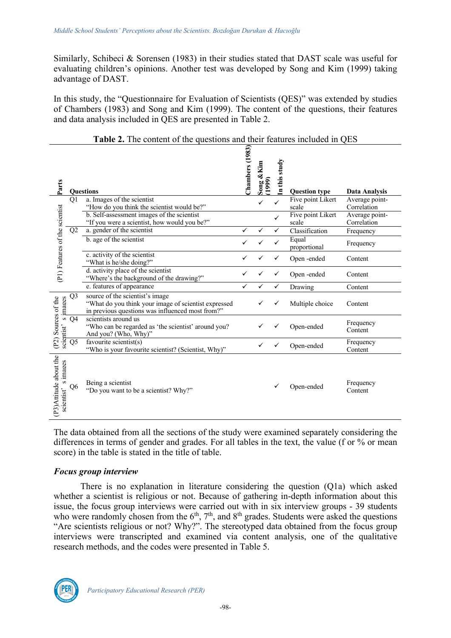Similarly, Schibeci & Sorensen (1983) in their studies stated that DAST scale was useful for evaluating children's opinions. Another test was developed by Song and Kim (1999) taking advantage of DAST.

In this study, the "Questionnaire for Evaluation of Scientists (QES)" was extended by studies of Chambers (1983) and Song and Kim (1999). The content of the questions, their features and data analysis included in QES are presented in Table 2.

| Parts                                            |                | Questions                                                                                                                                   | Chambers (1983) | Kim<br>Song<br>1999 | n this study | <b>Question type</b>       | <b>Data Analysis</b>          |
|--------------------------------------------------|----------------|---------------------------------------------------------------------------------------------------------------------------------------------|-----------------|---------------------|--------------|----------------------------|-------------------------------|
|                                                  | O <sub>1</sub> | a. Images of the scientist<br>"How do you think the scientist would be?"                                                                    |                 |                     | ✓            | Five point Likert<br>scale | Average point-<br>Correlation |
|                                                  |                | b. Self-assessment images of the scientist<br>"If you were a scientist, how would you be?"                                                  |                 |                     | ✓            | Five point Likert<br>scale | Average point-<br>Correlation |
|                                                  | O <sub>2</sub> | a. gender of the scientist                                                                                                                  |                 |                     | ✓            | Classification             | Frequency                     |
| (P1) Features of the scientist                   |                | b. age of the scientist                                                                                                                     |                 |                     | $\checkmark$ | Equal<br>proportional      | Frequency                     |
|                                                  |                | c. activity of the scientist<br>"What is he/she doing?"                                                                                     |                 |                     |              | Open-ended                 | Content                       |
|                                                  |                | d. activity place of the scientist<br>"Where's the background of the drawing?"                                                              |                 |                     | ✓            | Open-ended                 | Content                       |
|                                                  |                | e. features of appearance                                                                                                                   | $\checkmark$    | $\checkmark$        | $\checkmark$ | Drawing                    | Content                       |
| images                                           | Q <sub>3</sub> | source of the scientist's image<br>"What do you think your image of scientist expressed<br>in previous questions was influenced most from?" |                 |                     | ✓            | Multiple choice            | Content                       |
| (P2) Sources of the<br>s<br>scientist'           | O <sub>4</sub> | scientists around us<br>"Who can be regarded as 'the scientist' around you?<br>And you? (Who, Why)"                                         |                 |                     | ✓            | Open-ended                 | Frequency<br>Content          |
|                                                  | Q5             | favourite scientist(s)<br>"Who is your favourite scientist? (Scientist, Why)"                                                               |                 |                     |              | Open-ended                 | Frequency<br>Content          |
| (P3)Attitude about the<br>s images<br>scientist' | Q6             | Being a scientist<br>"Do you want to be a scientist? Why?"                                                                                  |                 |                     |              | Open-ended                 | Frequency<br>Content          |

| Table 2. The content of the questions and their features included in QES |
|--------------------------------------------------------------------------|
|--------------------------------------------------------------------------|

The data obtained from all the sections of the study were examined separately considering the differences in terms of gender and grades. For all tables in the text, the value (f or % or mean score) in the table is stated in the title of table.

### *Focus group interview*

There is no explanation in literature considering the question (Q1a) which asked whether a scientist is religious or not. Because of gathering in-depth information about this issue, the focus group interviews were carried out with in six interview groups - 39 students who were randomly chosen from the  $6<sup>th</sup>$ ,  $7<sup>th</sup>$ , and  $8<sup>th</sup>$  grades. Students were asked the questions "Are scientists religious or not? Why?". The stereotyped data obtained from the focus group interviews were transcripted and examined via content analysis, one of the qualitative research methods, and the codes were presented in Table 5.

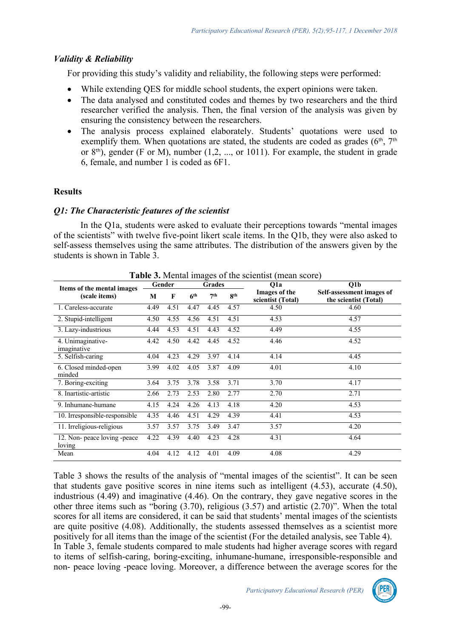### *Validity & Reliability*

For providing this study's validity and reliability, the following steps were performed:

- While extending QES for middle school students, the expert opinions were taken.
- The data analysed and constituted codes and themes by two researchers and the third researcher verified the analysis. Then, the final version of the analysis was given by ensuring the consistency between the researchers.
- The analysis process explained elaborately. Students' quotations were used to exemplify them. When quotations are stated, the students are coded as grades  $(6<sup>th</sup>, 7<sup>th</sup>)$ or  $8<sup>th</sup>$ ), gender (F or M), number (1,2, ..., or 1011). For example, the student in grade 6, female, and number 1 is coded as 6F1.

# **Results**

## *Q1: The Characteristic features of the scientist*

In the Q1a, students were asked to evaluate their perceptions towards "mental images of the scientists" with twelve five-point likert scale items. In the Q1b, they were also asked to self-assess themselves using the same attributes. The distribution of the answers given by the students is shown in Table 3.

| <b>Table 0.</b> Mental integes of the selentist (filean secre) |      |        |                                                       |               |      |                                           |                                                    |  |  |  |  |
|----------------------------------------------------------------|------|--------|-------------------------------------------------------|---------------|------|-------------------------------------------|----------------------------------------------------|--|--|--|--|
|                                                                |      | Gender |                                                       | <b>Grades</b> |      | Q1a                                       | O1b                                                |  |  |  |  |
| Items of the mental images<br>(scale items)                    | М    |        | 8 <sup>th</sup><br>6 <sup>th</sup><br>7 <sup>th</sup> |               |      | <b>Images of the</b><br>scientist (Total) | Self-assessment images of<br>the scientist (Total) |  |  |  |  |
| 1. Careless-accurate                                           | 4.49 | 4.51   | 4.47                                                  | 4.45          | 4.57 | 4.50                                      | 4.60                                               |  |  |  |  |
| 2. Stupid-intelligent                                          | 4.50 | 4.55   | 4.56                                                  | 4.51          | 4.51 | 4.53                                      | 4.57                                               |  |  |  |  |
| 3. Lazy-industrious                                            | 4.44 | 4.53   | 4.51                                                  | 4.43          | 4.52 | 4.49                                      | 4.55                                               |  |  |  |  |
| 4. Unimaginative-<br>imaginative                               | 4.42 | 4.50   | 4.42                                                  | 4.45          | 4.52 | 4.46                                      | 4.52                                               |  |  |  |  |
| 5. Selfish-caring                                              | 4.04 | 4.23   | 4.29                                                  | 3.97          | 4.14 | 4.14                                      | 4.45                                               |  |  |  |  |
| 6. Closed minded-open<br>minded                                | 3.99 | 4.02   | 4.05                                                  | 3.87          | 4.09 | 4.01                                      | 4.10                                               |  |  |  |  |
| 7. Boring-exciting                                             | 3.64 | 3.75   | 3.78                                                  | 3.58          | 3.71 | 3.70                                      | 4.17                                               |  |  |  |  |
| 8. Inartistic-artistic                                         | 2.66 | 2.73   | 2.53                                                  | 2.80          | 2.77 | 2.70                                      | 2.71                                               |  |  |  |  |
| 9. Inhumane-humane                                             | 4.15 | 4.24   | 4.26                                                  | 4.13          | 4.18 | 4.20                                      | 4.53                                               |  |  |  |  |
| 10. Irresponsible-responsible                                  | 4.35 | 4.46   | 4.51                                                  | 4.29          | 4.39 | 4.41                                      | 4.53                                               |  |  |  |  |
| 11. Irreligious-religious                                      | 3.57 | 3.57   | 3.75                                                  | 3.49          | 3.47 | 3.57                                      | 4.20                                               |  |  |  |  |
| 12. Non- peace loving -peace<br>loving                         | 4.22 | 4.39   | 4.40                                                  | 4.23          | 4.28 | 4.31                                      | 4.64                                               |  |  |  |  |
| Mean                                                           | 4.04 | 4.12   | 4.12                                                  | 4.01          | 4.09 | 4.08                                      | 4.29                                               |  |  |  |  |

**Table 3.** Mental images of the scientist (mean score)

Table 3 shows the results of the analysis of "mental images of the scientist". It can be seen that students gave positive scores in nine items such as intelligent (4.53), accurate (4.50), industrious (4.49) and imaginative (4.46). On the contrary, they gave negative scores in the other three items such as "boring (3.70), religious (3.57) and artistic (2.70)". When the total scores for all items are considered, it can be said that students' mental images of the scientists are quite positive (4.08). Additionally, the students assessed themselves as a scientist more positively for all items than the image of the scientist (For the detailed analysis, see Table 4). In Table 3, female students compared to male students had higher average scores with regard to items of selfish-caring, boring-exciting, inhumane-humane, irresponsible-responsible and non- peace loving -peace loving. Moreover, a difference between the average scores for the

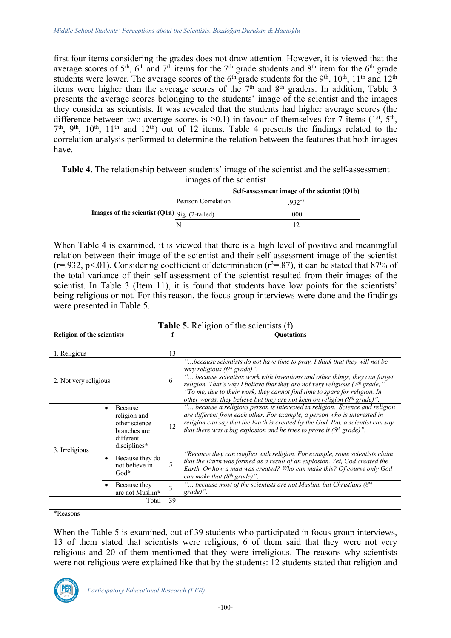first four items considering the grades does not draw attention. However, it is viewed that the average scores of 5<sup>th</sup>, 6<sup>th</sup> and 7<sup>th</sup> items for the 7<sup>th</sup> grade students and 8<sup>th</sup> item for the 6<sup>th</sup> grade students were lower. The average scores of the  $6<sup>th</sup>$  grade students for the 9<sup>th</sup>, 10<sup>th</sup>, 11<sup>th</sup> and 12<sup>th</sup> items were higher than the average scores of the 7<sup>th</sup> and 8<sup>th</sup> graders. In addition, Table 3 presents the average scores belonging to the students' image of the scientist and the images they consider as scientists. It was revealed that the students had higher average scores (the difference between two average scores is  $>0.1$ ) in favour of themselves for 7 items (1<sup>st</sup>, 5<sup>th</sup>,  $7<sup>th</sup>$ ,  $9<sup>th</sup>$ ,  $10<sup>th</sup>$ ,  $11<sup>th</sup>$  and  $12<sup>th</sup>$ ) out of 12 items. Table 4 presents the findings related to the correlation analysis performed to determine the relation between the features that both images have.

**Table 4.** The relationship between students' image of the scientist and the self-assessment images of the scientist

|                                                 |                     | Self-assessment image of the scientist (Q1b) |
|-------------------------------------------------|---------------------|----------------------------------------------|
|                                                 | Pearson Correlation | $.932**$                                     |
| Images of the scientist $(Q1a)$ Sig. (2-tailed) |                     | .000                                         |
|                                                 |                     |                                              |

When Table 4 is examined, it is viewed that there is a high level of positive and meaningful relation between their image of the scientist and their self-assessment image of the scientist  $(r=.932, p<.01)$ . Considering coefficient of determination  $(r^2=.87)$ , it can be stated that 87% of the total variance of their self-assessment of the scientist resulted from their images of the scientist. In Table 3 (Item 11), it is found that students have low points for the scientists' being religious or not. For this reason, the focus group interviews were done and the findings were presented in Table 5.

| Table 5. Religion of the scientists (f) |                                                                                                    |    |                                                                                                                                                                                                                                                                                                                                                                                                                                               |  |  |  |  |
|-----------------------------------------|----------------------------------------------------------------------------------------------------|----|-----------------------------------------------------------------------------------------------------------------------------------------------------------------------------------------------------------------------------------------------------------------------------------------------------------------------------------------------------------------------------------------------------------------------------------------------|--|--|--|--|
| <b>Religion of the scientists</b>       |                                                                                                    |    | <b>Ouotations</b>                                                                                                                                                                                                                                                                                                                                                                                                                             |  |  |  |  |
|                                         |                                                                                                    |    |                                                                                                                                                                                                                                                                                                                                                                                                                                               |  |  |  |  |
| 1. Religious                            |                                                                                                    | 13 |                                                                                                                                                                                                                                                                                                                                                                                                                                               |  |  |  |  |
| 2. Not very religious                   |                                                                                                    | 6  | "because scientists do not have time to pray, I think that they will not be<br>very religious $(6th grade)$ ",<br>because scientists work with inventions and other things, they can forget<br>religion. That's why I believe that they are not very religious ( $7th$ grade)",<br>"To me, due to their work, they cannot find time to spare for religion. In<br>other words, they believe but they are not keen on religion ( $8th$ grade)". |  |  |  |  |
|                                         | Because<br>$\bullet$<br>religion and<br>other science<br>branches are<br>different<br>disciplines* | 12 | " because a religious person is interested in religion. Science and religion<br>are different from each other. For example, a person who is interested in<br>religion can say that the Earth is created by the God. But, a scientist can say<br>that there was a big explosion and he tries to prove it $(8th grade)$ ",                                                                                                                      |  |  |  |  |
| 3. Irreligious                          | Because they do<br>not believe in<br>$God*$                                                        | 5  | "Because they can conflict with religion. For example, some scientists claim<br>that the Earth was formed as a result of an explosion. Yet, God created the<br>Earth. Or how a man was created? Who can make this? Of course only God<br>can make that $(8th \text{ grade})$ ",                                                                                                                                                               |  |  |  |  |
|                                         | Because they<br>are not Muslim*                                                                    | 3  | " because most of the scientists are not Muslim, but Christians $(8th$<br>grade)".                                                                                                                                                                                                                                                                                                                                                            |  |  |  |  |
|                                         | Total                                                                                              | 39 |                                                                                                                                                                                                                                                                                                                                                                                                                                               |  |  |  |  |

\*Reasons

When the Table 5 is examined, out of 39 students who participated in focus group interviews, 13 of them stated that scientists were religious, 6 of them said that they were not very religious and 20 of them mentioned that they were irreligious. The reasons why scientists were not religious were explained like that by the students: 12 students stated that religion and

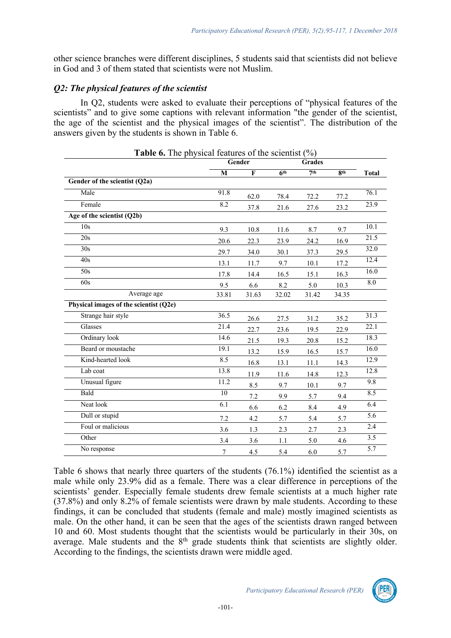other science branches were different disciplines, 5 students said that scientists did not believe in God and 3 of them stated that scientists were not Muslim.

### *Q2: The physical features of the scientist*

In Q2, students were asked to evaluate their perceptions of "physical features of the scientists" and to give some captions with relevant information "the gender of the scientist, the age of the scientist and the physical images of the scientist". The distribution of the answers given by the students is shown in Table 6.

| <b>Table 6.</b> The physical features of the scientist $(\%)$ |                |                         |                 |                 |                 |                  |
|---------------------------------------------------------------|----------------|-------------------------|-----------------|-----------------|-----------------|------------------|
|                                                               |                | Gender                  |                 | <b>Grades</b>   |                 |                  |
|                                                               | M              | $\overline{\mathbf{F}}$ | 6 <sup>th</sup> | 7 <sup>th</sup> | 8 <sup>th</sup> | <b>Total</b>     |
| Gender of the scientist (Q2a)                                 |                |                         |                 |                 |                 |                  |
| Male                                                          | 91.8           | 62.0                    | 78.4            | 72.2            | 77.2            | 76.1             |
| Female                                                        | 8.2            | 37.8                    | 21.6            | 27.6            | 23.2            | 23.9             |
| Age of the scientist (Q2b)                                    |                |                         |                 |                 |                 |                  |
| 10s                                                           | 9.3            | 10.8                    | 11.6            | 8.7             | 9.7             | 10.1             |
| 20s                                                           | 20.6           | 22.3                    | 23.9            | 24.2            | 16.9            | 21.5             |
| 30s                                                           | 29.7           | 34.0                    | 30.1            | 37.3            | 29.5            | 32.0             |
| 40s                                                           | 13.1           | 11.7                    | 9.7             | 10.1            | 17.2            | 12.4             |
| 50s                                                           | 17.8           | 14.4                    | 16.5            | 15.1            | 16.3            | 16.0             |
| 60s                                                           | 9.5            | 6.6                     | 8.2             | 5.0             | 10.3            | $8.0\,$          |
| Average age                                                   | 33.81          | 31.63                   | 32.02           | 31.42           | 34.35           |                  |
| Physical images of the scientist (Q2e)                        |                |                         |                 |                 |                 |                  |
| Strange hair style                                            | 36.5           | 26.6                    | 27.5            | 31.2            | 35.2            | 31.3             |
| Glasses                                                       | 21.4           | 22.7                    | 23.6            | 19.5            | 22.9            | 22.1             |
| Ordinary look                                                 | 14.6           | 21.5                    | 19.3            | 20.8            | 15.2            | 18.3             |
| Beard or moustache                                            | 19.1           | 13.2                    | 15.9            | 16.5            | 15.7            | 16.0             |
| Kind-hearted look                                             | 8.5            | 16.8                    | 13.1            | 11.1            | 14.3            | 12.9             |
| Lab coat                                                      | 13.8           | 11.9                    | 11.6            | 14.8            | 12.3            | 12.8             |
| Unusual figure                                                | 11.2           | 8.5                     | 9.7             | 10.1            | 9.7             | 9.8              |
| Bald                                                          | 10             | 7.2                     | 9.9             | 5.7             | 9.4             | 8.5              |
| Neat look                                                     | 6.1            | 6.6                     | 6.2             | 8.4             | 4.9             | 6.4              |
| Dull or stupid                                                | 7.2            | 4.2                     | 5.7             | 5.4             | 5.7             | $\overline{5.6}$ |
| Foul or malicious                                             | 3.6            | 1.3                     | 2.3             | 2.7             | 2.3             | 2.4              |
| Other                                                         | 3.4            | 3.6                     | 1.1             | 5.0             | 4.6             | 3.5              |
| No response                                                   | $\overline{7}$ | 4.5                     | 5.4             | 6.0             | 5.7             | 5.7              |

Table 6 shows that nearly three quarters of the students (76.1%) identified the scientist as a male while only 23.9% did as a female. There was a clear difference in perceptions of the scientists' gender. Especially female students drew female scientists at a much higher rate (37.8%) and only 8.2% of female scientists were drawn by male students. According to these findings, it can be concluded that students (female and male) mostly imagined scientists as male. On the other hand, it can be seen that the ages of the scientists drawn ranged between 10 and 60. Most students thought that the scientists would be particularly in their 30s, on average. Male students and the 8<sup>th</sup> grade students think that scientists are slightly older. According to the findings, the scientists drawn were middle aged.

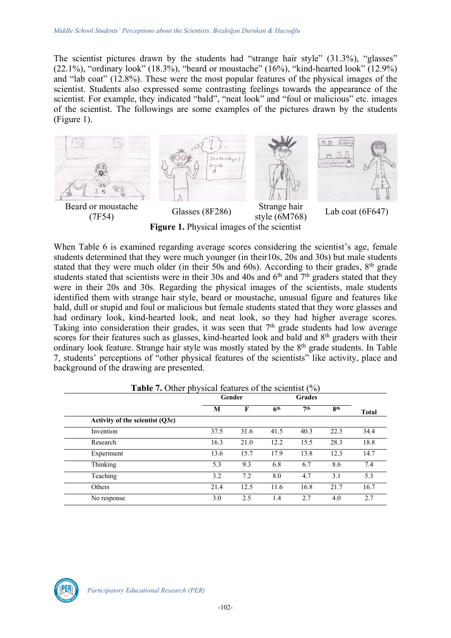The scientist pictures drawn by the students had "strange hair style" (31.3%), "glasses" (22.1%), "ordinary look" (18.3%), "beard or moustache" (16%), "kind-hearted look" (12.9%) and "lab coat" (12.8%). These were the most popular features of the physical images of the scientist. Students also expressed some contrasting feelings towards the appearance of the scientist. For example, they indicated "bald", "neat look" and "foul or malicious" etc. images of the scientist. The followings are some examples of the pictures drawn by the students (Figure 1).



**Figure 1.** Physical images of the scientist

When Table 6 is examined regarding average scores considering the scientist's age, female students determined that they were much younger (in their10s, 20s and 30s) but male students stated that they were much older (in their 50s and 60s). According to their grades,  $8<sup>th</sup>$  grade students stated that scientists were in their 30s and 40s and  $6<sup>th</sup>$  and  $7<sup>th</sup>$  graders stated that they were in their 20s and 30s. Regarding the physical images of the scientists, male students identified them with strange hair style, beard or moustache, unusual figure and features like bald, dull or stupid and foul or malicious but female students stated that they wore glasses and had ordinary look, kind-hearted look, and neat look, so they had higher average scores. Taking into consideration their grades, it was seen that  $7<sup>th</sup>$  grade students had low average scores for their features such as glasses, kind-hearted look and bald and 8<sup>th</sup> graders with their ordinary look feature. Strange hair style was mostly stated by the 8<sup>th</sup> grade students. In Table 7, students' perceptions of "other physical features of the scientists" like activity, place and background of the drawing are presented.

|                                 |      | Gender      |                 |      | <b>Grades</b> |              |  |
|---------------------------------|------|-------------|-----------------|------|---------------|--------------|--|
|                                 | M    | $\mathbf F$ | 6 <sup>th</sup> | 7th  | <b>8th</b>    | <b>Total</b> |  |
| Activity of the scientist (Q3c) |      |             |                 |      |               |              |  |
| Invention                       | 37.5 | 31.6        | 41.5            | 40.3 | 22.3          | 34.4         |  |
| Research                        | 16.3 | 21.0        | 12.2            | 15.5 | 28.3          | 18.8         |  |
| Experiment                      | 13.6 | 15.7        | 17.9            | 13.8 | 12.3          | 14.7         |  |
| Thinking                        | 5.3  | 9.3         | 6.8             | 6.7  | 8.6           | 7.4          |  |
| Teaching                        | 3.2  | 7.2         | 8.0             | 4.7  | 3.1           | 5.3          |  |
| Others                          | 21.4 | 12.5        | 11.6            | 16.8 | 21.7          | 16.7         |  |
| No response                     | 3.0  | 2.5         | 1.4             | 2.7  | 4.0           | 2.7          |  |

**Table 7.** Other physical features of the scientist (%)

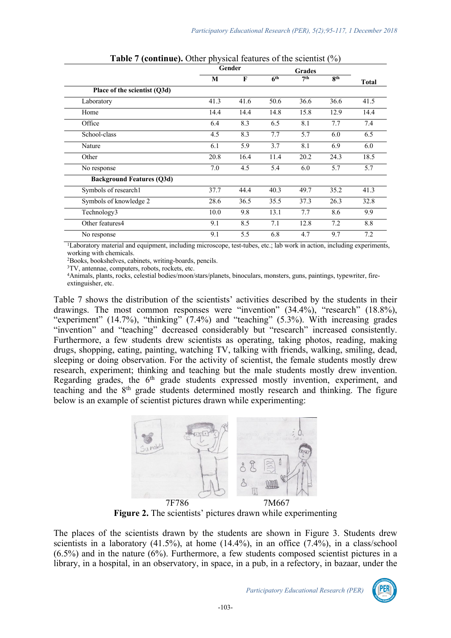|                                  |      | Gender<br><b>Grades</b> |                 |                 |      |              |
|----------------------------------|------|-------------------------|-----------------|-----------------|------|--------------|
|                                  | M    | $\mathbf{F}$            | 6 <sup>th</sup> | 7 <sup>th</sup> | 8th  | <b>Total</b> |
| Place of the scientist (Q3d)     |      |                         |                 |                 |      |              |
| Laboratory                       | 41.3 | 41.6                    | 50.6            | 36.6            | 36.6 | 41.5         |
| Home                             | 14.4 | 14.4                    | 14.8            | 15.8            | 12.9 | 14.4         |
| Office                           | 6.4  | 8.3                     | 6.5             | 8.1             | 7.7  | 7.4          |
| School-class                     | 4.5  | 8.3                     | 7.7             | 5.7             | 6.0  | 6.5          |
| Nature                           | 6.1  | 5.9                     | 3.7             | 8.1             | 6.9  | 6.0          |
| Other                            | 20.8 | 16.4                    | 11.4            | 20.2            | 24.3 | 18.5         |
| No response                      | 7.0  | 4.5                     | 5.4             | 6.0             | 5.7  | 5.7          |
| <b>Background Features (Q3d)</b> |      |                         |                 |                 |      |              |
| Symbols of research1             | 37.7 | 44.4                    | 40.3            | 49.7            | 35.2 | 41.3         |
| Symbols of knowledge 2           | 28.6 | 36.5                    | 35.5            | 37.3            | 26.3 | 32.8         |
| Technology3                      | 10.0 | 9.8                     | 13.1            | 7.7             | 8.6  | 9.9          |
| Other features4                  | 9.1  | 8.5                     | 7.1             | 12.8            | 7.2  | 8.8          |
| No response                      | 9.1  | 5.5                     | 6.8             | 4.7             | 9.7  | 7.2          |

**Table 7 (continue).** Other physical features of the scientist (%)

<sup>1</sup>Laboratory material and equipment, including microscope, test-tubes, etc.; lab work in action, including experiments, working with chemicals.

2Books, bookshelves, cabinets, writing-boards, pencils.

3TV, antennae, computers, robots, rockets, etc.

4Animals, plants, rocks, celestial bodies/moon/stars/planets, binoculars, monsters, guns, paintings, typewriter, fireextinguisher, etc.

Table 7 shows the distribution of the scientists' activities described by the students in their drawings. The most common responses were "invention" (34.4%), "research" (18.8%), "experiment" (14.7%), "thinking" (7.4%) and "teaching" (5.3%). With increasing grades "invention" and "teaching" decreased considerably but "research" increased consistently. Furthermore, a few students drew scientists as operating, taking photos, reading, making drugs, shopping, eating, painting, watching TV, talking with friends, walking, smiling, dead, sleeping or doing observation. For the activity of scientist, the female students mostly drew research, experiment; thinking and teaching but the male students mostly drew invention. Regarding grades, the 6<sup>th</sup> grade students expressed mostly invention, experiment, and teaching and the 8th grade students determined mostly research and thinking. The figure below is an example of scientist pictures drawn while experimenting:



Figure 2. The scientists' pictures drawn while experimenting

The places of the scientists drawn by the students are shown in Figure 3. Students drew scientists in a laboratory  $(41.5\%)$ , at home  $(14.4\%)$ , in an office  $(7.4\%)$ , in a class/school (6.5%) and in the nature (6%). Furthermore, a few students composed scientist pictures in a library, in a hospital, in an observatory, in space, in a pub, in a refectory, in bazaar, under the

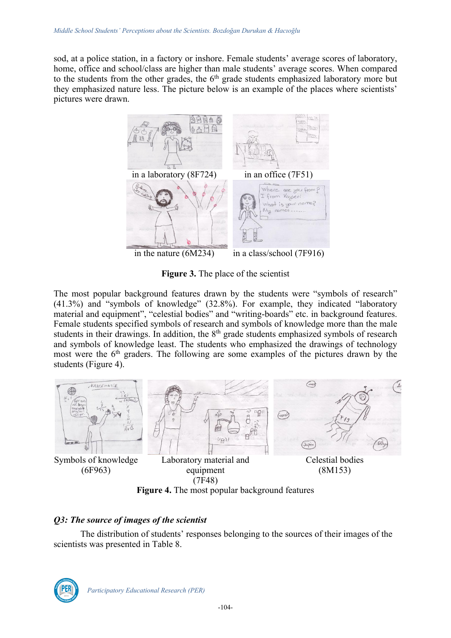sod, at a police station, in a factory or inshore. Female students' average scores of laboratory, home, office and school/class are higher than male students' average scores. When compared to the students from the other grades, the  $6<sup>th</sup>$  grade students emphasized laboratory more but they emphasized nature less. The picture below is an example of the places where scientists' pictures were drawn.



**Figure 3.** The place of the scientist

The most popular background features drawn by the students were "symbols of research" (41.3%) and "symbols of knowledge" (32.8%). For example, they indicated "laboratory material and equipment", "celestial bodies" and "writing-boards" etc. in background features. Female students specified symbols of research and symbols of knowledge more than the male students in their drawings. In addition, the 8<sup>th</sup> grade students emphasized symbols of research and symbols of knowledge least. The students who emphasized the drawings of technology most were the 6<sup>th</sup> graders. The following are some examples of the pictures drawn by the students (Figure 4).



**Figure 4.** The most popular background features

### *Q3: The source of images of the scientist*

The distribution of students' responses belonging to the sources of their images of the scientists was presented in Table 8.

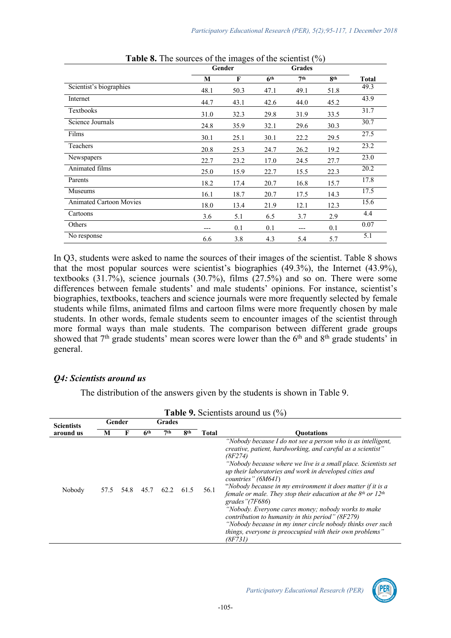|                                |      | Gender<br><b>Grades</b> |                 |                 |            |              |
|--------------------------------|------|-------------------------|-----------------|-----------------|------------|--------------|
|                                | M    | $\mathbf{F}$            | 6 <sup>th</sup> | 7 <sup>th</sup> | <b>gth</b> | <b>Total</b> |
| Scientist's biographies        | 48.1 | 50.3                    | 47.1            | 49.1            | 51.8       | 49.3         |
| Internet                       | 44.7 | 43.1                    | 42.6            | 44.0            | 45.2       | 43.9         |
| Textbooks                      | 31.0 | 32.3                    | 29.8            | 31.9            | 33.5       | 31.7         |
| Science Journals               | 24.8 | 35.9                    | 32.1            | 29.6            | 30.3       | 30.7         |
| Films                          | 30.1 | 25.1                    | 30.1            | 22.2            | 29.5       | 27.5         |
| Teachers                       | 20.8 | 25.3                    | 24.7            | 26.2            | 19.2       | 23.2         |
| Newspapers                     | 22.7 | 23.2                    | 17.0            | 24.5            | 27.7       | 23.0         |
| Animated films                 | 25.0 | 15.9                    | 22.7            | 15.5            | 22.3       | 20.2         |
| Parents                        | 18.2 | 17.4                    | 20.7            | 16.8            | 15.7       | 17.8         |
| Museums                        | 16.1 | 18.7                    | 20.7            | 17.5            | 14.3       | 17.5         |
| <b>Animated Cartoon Movies</b> | 18.0 | 13.4                    | 21.9            | 12.1            | 12.3       | 15.6         |
| Cartoons                       | 3.6  | 5.1                     | 6.5             | 3.7             | 2.9        | 4.4          |
| Others                         | ---  | 0.1                     | 0.1             | ---             | 0.1        | 0.07         |
| No response                    | 6.6  | 3.8                     | 4.3             | 5.4             | 5.7        | 5.1          |

| <b>Table 8.</b> The sources of the images of the scientist $(\%)$ |  |  |  |
|-------------------------------------------------------------------|--|--|--|
|                                                                   |  |  |  |

In Q3, students were asked to name the sources of their images of the scientist. Table 8 shows that the most popular sources were scientist's biographies (49.3%), the Internet (43.9%), textbooks (31.7%), science journals (30.7%), films (27.5%) and so on. There were some differences between female students' and male students' opinions. For instance, scientist's biographies, textbooks, teachers and science journals were more frequently selected by female students while films, animated films and cartoon films were more frequently chosen by male students. In other words, female students seem to encounter images of the scientist through more formal ways than male students. The comparison between different grade groups showed that  $7<sup>th</sup>$  grade students' mean scores were lower than the  $6<sup>th</sup>$  and  $8<sup>th</sup>$  grade students' in general.

### *Q4: Scientists around us*

The distribution of the answers given by the students is shown in Table 9.

|                   |      |        |                 |      |                 |       | <b>1 apre 7.</b> Scientists around us $(70)$                                                                                                                                                                                                                                                                                                                                                                                                                                                                                                                                                                                                                                                         |  |  |
|-------------------|------|--------|-----------------|------|-----------------|-------|------------------------------------------------------------------------------------------------------------------------------------------------------------------------------------------------------------------------------------------------------------------------------------------------------------------------------------------------------------------------------------------------------------------------------------------------------------------------------------------------------------------------------------------------------------------------------------------------------------------------------------------------------------------------------------------------------|--|--|
| <b>Scientists</b> |      | Gender | Grades          |      |                 |       |                                                                                                                                                                                                                                                                                                                                                                                                                                                                                                                                                                                                                                                                                                      |  |  |
| around us         | M    | F      | 6 <sup>th</sup> | 7th  | 8 <sup>th</sup> | Total | <b>Quotations</b>                                                                                                                                                                                                                                                                                                                                                                                                                                                                                                                                                                                                                                                                                    |  |  |
| Nobody            | 57.5 | 54.8   | 45.7            | 62.2 | 61.5            | 56.1  | "Nobody because I do not see a person who is as intelligent,<br>creative, patient, hardworking, and careful as a scientist"<br>(8F274)<br>"Nobody because where we live is a small place. Scientists set<br>up their laboratories and work in developed cities and<br>countries" $(6M641)$<br>"Nobody because in my environment it does matter if it is a<br>female or male. They stop their education at the $8th$ or $12th$<br>grades" $(7F686)$<br>"Nobody. Everyone cares money; nobody works to make<br>contribution to humanity in this period" $(8F279)$<br>"Nobody because in my inner circle nobody thinks over such<br>things, everyone is preoccupied with their own problems"<br>(8F731) |  |  |

|  | <b>Table 9.</b> Scientists around us $(\%)$ |  |  |  |  |
|--|---------------------------------------------|--|--|--|--|
|--|---------------------------------------------|--|--|--|--|

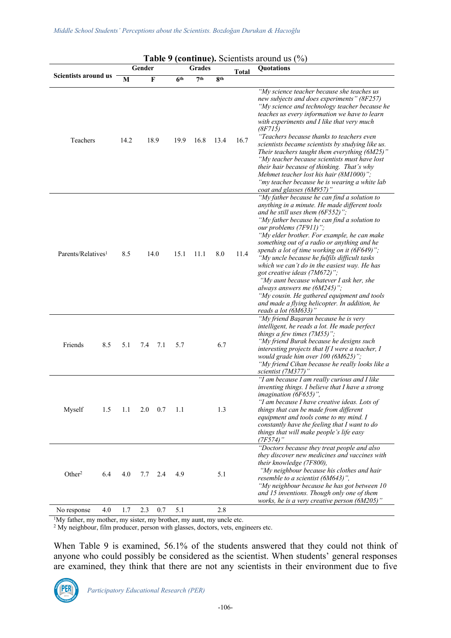| <b>I able 9 (continue).</b> Scientists around us (%)<br>Gender<br>Grades |     |      |                              |                 |                               |      | <b>Quotations</b>                                                                                                                                                                                                                                                                                                                                                                                                                                                                                                                                                                                                              |                                                                                                                                                                                                                                                                                                                                                                                                                                                                                                                                                                                                                                                                                                          |
|--------------------------------------------------------------------------|-----|------|------------------------------|-----------------|-------------------------------|------|--------------------------------------------------------------------------------------------------------------------------------------------------------------------------------------------------------------------------------------------------------------------------------------------------------------------------------------------------------------------------------------------------------------------------------------------------------------------------------------------------------------------------------------------------------------------------------------------------------------------------------|----------------------------------------------------------------------------------------------------------------------------------------------------------------------------------------------------------------------------------------------------------------------------------------------------------------------------------------------------------------------------------------------------------------------------------------------------------------------------------------------------------------------------------------------------------------------------------------------------------------------------------------------------------------------------------------------------------|
| Scientists around us                                                     |     | M    | $\mathbf{F}$                 | 6 <sup>th</sup> | 7 <sup>th</sup><br><b>gth</b> |      | Total                                                                                                                                                                                                                                                                                                                                                                                                                                                                                                                                                                                                                          |                                                                                                                                                                                                                                                                                                                                                                                                                                                                                                                                                                                                                                                                                                          |
| Teachers                                                                 |     | 14.2 | 18.9<br>19.9<br>16.8<br>13.4 |                 |                               | 16.7 | "My science teacher because she teaches us<br>new subjects and does experiments" (8F257)<br>"My science and technology teacher because he<br>teaches us every information we have to learn<br>with experiments and I like that very much<br>(8F715)<br>"Teachers because thanks to teachers even<br>scientists became scientists by studying like us.<br>Their teachers taught them everything (6M25)"<br>"My teacher because scientists must have lost<br>their hair because of thinking. That's why<br>Mehmet teacher lost his hair (8M1000)";<br>"my teacher because he is wearing a white lab<br>coat and glasses (6M957)" |                                                                                                                                                                                                                                                                                                                                                                                                                                                                                                                                                                                                                                                                                                          |
| Parents/Relatives <sup>1</sup>                                           |     | 8.5  | 14.0                         | 15.1            | 11.1                          | 8.0  | 11.4                                                                                                                                                                                                                                                                                                                                                                                                                                                                                                                                                                                                                           | "My father because he can find a solution to<br>anything in a minute. He made different tools<br>and he still uses them $(6F552)$ ";<br>"My father because he can find a solution to<br>our problems (7F911)";<br>"My elder brother. For example, he can make<br>something out of a radio or anything and he<br>spends a lot of time working on it $(6F649)$ ";<br>"My uncle because he fulfils difficult tasks<br>which we can't do in the easiest way. He has<br>got creative ideas (7M672)";<br>"My aunt because whatever I ask her, she<br>always answers me $(6M245)$ ";<br>"My cousin. He gathered equipment and tools<br>and made a flying helicopter. In addition, he<br>reads a lot $(6M633)$ " |
| Friends                                                                  | 8.5 | 5.1  | 7.1<br>7.4                   | 5.7             |                               | 6.7  |                                                                                                                                                                                                                                                                                                                                                                                                                                                                                                                                                                                                                                | "My friend Başaran because he is very<br>intelligent, he reads a lot. He made perfect<br>things a few times $(7M55)$ ";<br>"My friend Burak because he designs such<br>interesting projects that If I were a teacher, I<br>would grade him over 100 (6M625)";<br>"My friend Cihan because he really looks like a<br>scientist (7M377)"                                                                                                                                                                                                                                                                                                                                                                   |
| Myself                                                                   | 1.5 | 1.1  | 2.0<br>0.7                   | 1.1             |                               | 1.3  |                                                                                                                                                                                                                                                                                                                                                                                                                                                                                                                                                                                                                                | "I am because I am really curious and I like<br>inventing things. I believe that I have a strong<br>imagination (6F655)",<br>"I am because I have creative ideas. Lots of<br>things that can be made from different<br>equipment and tools come to my mind. I<br>constantly have the feeling that I want to do<br>things that will make people's life easy<br>$(TF574)$ "                                                                                                                                                                                                                                                                                                                                |
| Other <sup>2</sup>                                                       | 6.4 | 4.0  | 7.7<br>2.4                   | 4.9             |                               | 5.1  |                                                                                                                                                                                                                                                                                                                                                                                                                                                                                                                                                                                                                                | "Doctors because they treat people and also<br>they discover new medicines and vaccines with<br>their knowledge (7F800),<br>"My neighbour because his clothes and hair<br>resemble to a scientist (6M643)",<br>"My neighbour because he has got between 10<br>and 15 inventions. Though only one of them<br>works, he is a very creative person $(6M205)$ "                                                                                                                                                                                                                                                                                                                                              |
| No response                                                              | 4.0 | 1.7  | 2.3<br>0.7                   | 5.1             |                               | 2.8  |                                                                                                                                                                                                                                                                                                                                                                                                                                                                                                                                                                                                                                |                                                                                                                                                                                                                                                                                                                                                                                                                                                                                                                                                                                                                                                                                                          |

# $\mathbf{T}$ **able 9**  $(\text{const})$ . Scientists around us  $(0/1)$

 $1$ My father, my mother, my sister, my brother, my aunt, my uncle etc.  $2$  My neighbour, film producer, person with glasses, doctors, vets, engineers etc.

When Table 9 is examined, 56.1% of the students answered that they could not think of anyone who could possibly be considered as the scientist. When students' general responses are examined, they think that there are not any scientists in their environment due to five

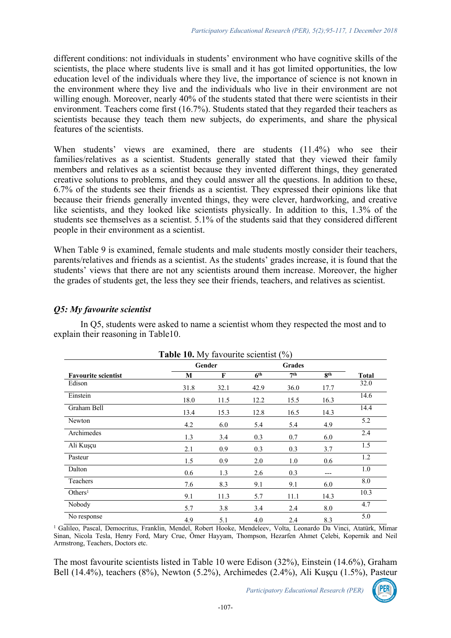different conditions: not individuals in students' environment who have cognitive skills of the scientists, the place where students live is small and it has got limited opportunities, the low education level of the individuals where they live, the importance of science is not known in the environment where they live and the individuals who live in their environment are not willing enough. Moreover, nearly 40% of the students stated that there were scientists in their environment. Teachers come first (16.7%). Students stated that they regarded their teachers as scientists because they teach them new subjects, do experiments, and share the physical features of the scientists.

When students' views are examined, there are students (11.4%) who see their families/relatives as a scientist. Students generally stated that they viewed their family members and relatives as a scientist because they invented different things, they generated creative solutions to problems, and they could answer all the questions. In addition to these, 6.7% of the students see their friends as a scientist. They expressed their opinions like that because their friends generally invented things, they were clever, hardworking, and creative like scientists, and they looked like scientists physically. In addition to this, 1.3% of the students see themselves as a scientist. 5.1% of the students said that they considered different people in their environment as a scientist.

When Table 9 is examined, female students and male students mostly consider their teachers, parents/relatives and friends as a scientist. As the students' grades increase, it is found that the students' views that there are not any scientists around them increase. Moreover, the higher the grades of students get, the less they see their friends, teachers, and relatives as scientist.

## *Q5: My favourite scientist*

In Q5, students were asked to name a scientist whom they respected the most and to explain their reasoning in Table10.

|                            | <b>Table TV.</b> My lavourite scientist (70) |        |                 |                 |            |              |  |  |
|----------------------------|----------------------------------------------|--------|-----------------|-----------------|------------|--------------|--|--|
|                            |                                              | Gender |                 | <b>Grades</b>   |            |              |  |  |
| <b>Favourite scientist</b> | M                                            | F      | 6 <sup>th</sup> | 7 <sup>th</sup> | <b>gth</b> | <b>Total</b> |  |  |
| Edison                     | 31.8                                         | 32.1   | 42.9            | 36.0            | 17.7       | 32.0         |  |  |
| Einstein                   | 18.0                                         | 11.5   | 12.2            | 15.5            | 16.3       | 14.6         |  |  |
| Graham Bell                | 13.4                                         | 15.3   | 12.8            | 16.5            | 14.3       | 14.4         |  |  |
| Newton                     | 4.2                                          | 6.0    | 5.4             | 5.4             | 4.9        | 5.2          |  |  |
| Archimedes                 | 1.3                                          | 3.4    | 0.3             | 0.7             | 6.0        | 2.4          |  |  |
| Ali Kuşçu                  | 2.1                                          | 0.9    | 0.3             | 0.3             | 3.7        | 1.5          |  |  |
| Pasteur                    | 1.5                                          | 0.9    | 2.0             | 1.0             | 0.6        | 1.2          |  |  |
| Dalton                     | 0.6                                          | 1.3    | 2.6             | 0.3             | ---        | 1.0          |  |  |
| Teachers                   | 7.6                                          | 8.3    | 9.1             | 9.1             | 6.0        | 8.0          |  |  |
| Others <sup>1</sup>        | 9.1                                          | 11.3   | 5.7             | 11.1            | 14.3       | 10.3         |  |  |
| Nobody                     | 5.7                                          | 3.8    | 3.4             | 2.4             | 8.0        | 4.7          |  |  |
| No response                | 4.9                                          | 5.1    | 4.0             | 2.4             | 8.3        | 5.0          |  |  |

**Table 10.** My favourite scientist (%)

1 Galileo, Pascal, Democritus, Franklin, Mendel, Robert Hooke, Mendeleev, Volta, Leonardo Da Vinci, Atatürk, Mimar Sinan, Nicola Tesla, Henry Ford, Mary Crue, Ömer Hayyam, Thompson, Hezarfen Ahmet Çelebi, Kopernik and Neil Armstrong, Teachers, Doctors etc.

The most favourite scientists listed in Table 10 were Edison (32%), Einstein (14.6%), Graham Bell (14.4%), teachers (8%), Newton (5.2%), Archimedes (2.4%), Ali Kuşçu (1.5%), Pasteur

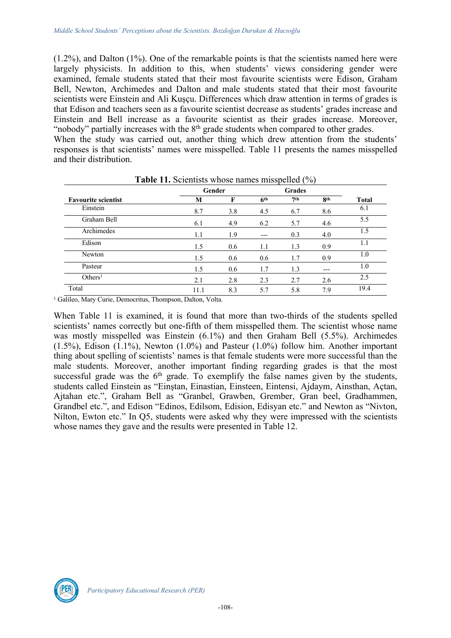(1.2%), and Dalton (1%). One of the remarkable points is that the scientists named here were largely physicists. In addition to this, when students' views considering gender were examined, female students stated that their most favourite scientists were Edison, Graham Bell, Newton, Archimedes and Dalton and male students stated that their most favourite scientists were Einstein and Ali Kuşçu. Differences which draw attention in terms of grades is that Edison and teachers seen as a favourite scientist decrease as students' grades increase and Einstein and Bell increase as a favourite scientist as their grades increase. Moreover, "nobody" partially increases with the  $8<sup>th</sup>$  grade students when compared to other grades.

When the study was carried out, another thing which drew attention from the students' responses is that scientists' names were misspelled. Table 11 presents the names misspelled and their distribution.

| <b>THOIC III</b> DUIVINIBIB WHOSE HUINGS HIIBBPUNCU (70) |        |     |                 |     |                 |              |
|----------------------------------------------------------|--------|-----|-----------------|-----|-----------------|--------------|
|                                                          | Gender |     |                 |     |                 |              |
| <b>Favourite scientist</b>                               | М      | F   | 6 <sup>th</sup> | 7th | 8 <sup>th</sup> | <b>Total</b> |
| Einstein                                                 | 8.7    | 3.8 | 4.5             | 6.7 | 8.6             | 6.1          |
| Graham Bell                                              | 6.1    | 4.9 | 6.2             | 5.7 | 4.6             | 5.5          |
| Archimedes                                               | 1.1    | 1.9 | ---             | 0.3 | 4.0             | 1.5          |
| Edison                                                   | 1.5    | 0.6 | 1.1             | 1.3 | 0.9             | 1.1          |
| Newton                                                   | 1.5    | 0.6 | 0.6             | 1.7 | 0.9             | 1.0          |
| Pasteur                                                  | 1.5    | 0.6 | 1.7             | 1.3 | ---             | 1.0          |
| Others <sup>1</sup>                                      | 2.1    | 2.8 | 2.3             | 2.7 | 2.6             | 2.5          |
| Total                                                    | 11.1   | 8.3 | 5.7             | 5.8 | 7.9             | 19.4         |

**Table 11.** Scientists whose names misspelled (%)

<sup>1</sup> Galileo, Mary Curie, Democritus, Thompson, Dalton, Volta.

When Table 11 is examined, it is found that more than two-thirds of the students spelled scientists' names correctly but one-fifth of them misspelled them. The scientist whose name was mostly misspelled was Einstein (6.1%) and then Graham Bell (5.5%). Archimedes  $(1.5\%)$ , Edison  $(1.1\%)$ , Newton  $(1.0\%)$  and Pasteur  $(1.0\%)$  follow him. Another important thing about spelling of scientists' names is that female students were more successful than the male students. Moreover, another important finding regarding grades is that the most successful grade was the  $6<sup>th</sup>$  grade. To exemplify the false names given by the students, students called Einstein as "Einştan, Einastian, Einsteen, Eintensi, Ajdaym, Ainsthan, Açtan, Ajtahan etc.", Graham Bell as "Granbel, Grawben, Grember, Gran beel, Gradhammen, Grandbel etc.", and Edison "Edinos, Edilsom, Edision, Edisyan etc." and Newton as "Nivton, Nilton, Ewton etc." In Q5, students were asked why they were impressed with the scientists whose names they gave and the results were presented in Table 12.

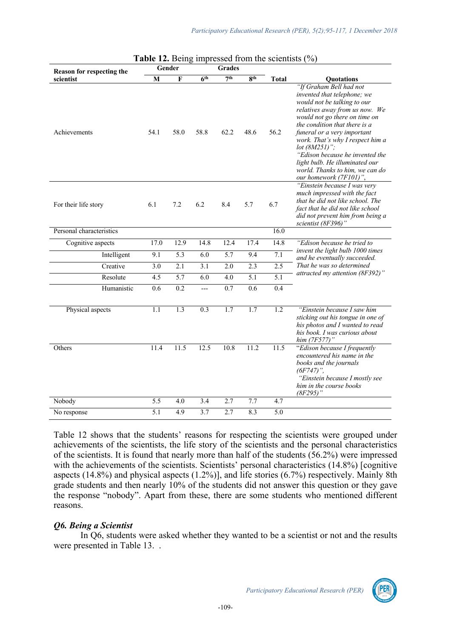| Reason for respecting the |                  | Gender       |                 | <b>Grades</b>    |      |                  |                                                                                                                                                                                                                                                                                                                                                                                                                    |  |  |
|---------------------------|------------------|--------------|-----------------|------------------|------|------------------|--------------------------------------------------------------------------------------------------------------------------------------------------------------------------------------------------------------------------------------------------------------------------------------------------------------------------------------------------------------------------------------------------------------------|--|--|
| scientist                 | M                | $\mathbf{F}$ | 6 <sup>th</sup> | 7 <sup>th</sup>  | 8th  | <b>Total</b>     | <b>Quotations</b>                                                                                                                                                                                                                                                                                                                                                                                                  |  |  |
| Achievements              | 54.1             | 58.0         | 58.8            | 62.2             | 48.6 | 56.2             | "If Graham Bell had not<br>invented that telephone; we<br>would not be talking to our<br>relatives away from us now. We<br>would not go there on time on<br>the condition that there is a<br>funeral or a very important<br>work. That's why I respect him a<br>$lot (8M251)$ ";<br>"Edison because he invented the<br>light bulb. He illuminated our<br>world. Thanks to him, we can do<br>our homework (7F101)", |  |  |
| For their life story      | 6.1              | 7.2          | 6.2             | 8.4              | 5.7  | 6.7              | "Einstein because I was very<br>much impressed with the fact<br>that he did not like school. The<br>fact that he did not like school<br>did not prevent him from being a<br>scientist $(8F396)$ "                                                                                                                                                                                                                  |  |  |
| Personal characteristics  |                  |              |                 |                  |      | 16.0             |                                                                                                                                                                                                                                                                                                                                                                                                                    |  |  |
| Cognitive aspects         | 17.0             | 12.9         | 14.8            | 12.4             | 17.4 | 14.8             | "Edison because he tried to                                                                                                                                                                                                                                                                                                                                                                                        |  |  |
| Intelligent               | 9.1              | 5.3          | 6.0             | 5.7              | 9.4  | $\overline{7.1}$ | invent the light bulb 1000 times<br>and he eventually succeeded.                                                                                                                                                                                                                                                                                                                                                   |  |  |
| Creative                  | 3.0              | 2.1          | 3.1             | 2.0              | 2.3  | 2.5              | That he was so determined                                                                                                                                                                                                                                                                                                                                                                                          |  |  |
| Resolute                  | 4.5              | 5.7          | 6.0             | 4.0              | 5.1  | 5.1              | attracted my attention (8F392)"                                                                                                                                                                                                                                                                                                                                                                                    |  |  |
| Humanistic                | 0.6              | 0.2          | $\overline{a}$  | $\overline{0.7}$ | 0.6  | 0.4              |                                                                                                                                                                                                                                                                                                                                                                                                                    |  |  |
| Physical aspects          | $\overline{1.1}$ | 1.3          | 0.3             | 1.7              | 1.7  | 1.2              | "Einstein because I saw him<br>sticking out his tongue in one of<br>his photos and I wanted to read<br>his book. I was curious about<br>$him (7F577)$ "                                                                                                                                                                                                                                                            |  |  |
| Others                    | 11.4             | 11.5         | 12.5            | 10.8             | 11.2 | 11.5             | "Edison because I frequently<br>encountered his name in the<br>books and the journals<br>$(6F747)$ ",<br>"Einstein because I mostly see<br>him in the course books<br>(8F295)'                                                                                                                                                                                                                                     |  |  |
| Nobody                    | 5.5              | 4.0          | 3.4             | 2.7              | 7.7  | 4.7              |                                                                                                                                                                                                                                                                                                                                                                                                                    |  |  |
| No response               | 5.1              | 4.9          | 3.7             | 2.7              | 8.3  | 5.0              |                                                                                                                                                                                                                                                                                                                                                                                                                    |  |  |

**Table 12.** Being impressed from the scientists  $(\%)$ 

Table 12 shows that the students' reasons for respecting the scientists were grouped under achievements of the scientists, the life story of the scientists and the personal characteristics of the scientists. It is found that nearly more than half of the students (56.2%) were impressed with the achievements of the scientists. Scientists' personal characteristics (14.8%) [cognitive aspects (14.8%) and physical aspects (1.2%)], and life stories (6.7%) respectively. Mainly 8th grade students and then nearly 10% of the students did not answer this question or they gave the response "nobody". Apart from these, there are some students who mentioned different reasons.

### *Q6. Being a Scientist*

In Q6, students were asked whether they wanted to be a scientist or not and the results were presented in Table 13. .

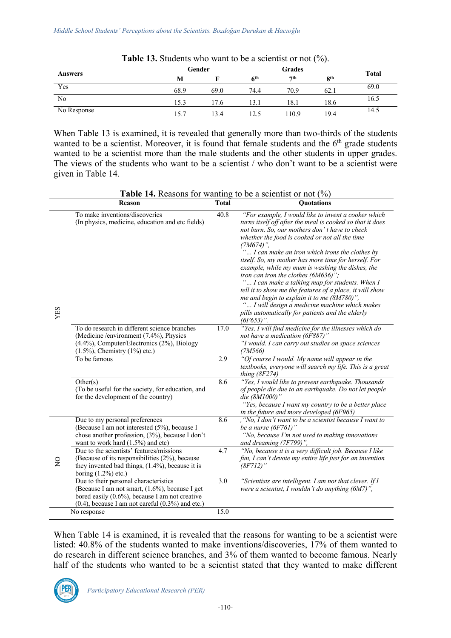| <b>Answers</b> |      | Gender          |      | <b>Total</b>                       |      |      |
|----------------|------|-----------------|------|------------------------------------|------|------|
|                |      | 6 <sup>th</sup> |      | 7 <sup>th</sup><br>8 <sup>th</sup> |      |      |
| Yes            | 68.9 | 69.0            | 74.4 | 70.9                               | 62.1 | 69.0 |
| No             | 15.3 | 17.6            | 13.1 | 18.1                               | 18.6 | 16.5 |
| No Response    | 15.7 | 13.4            | 12.5 | 110.9                              | 19.4 | 14.5 |

**Table 13.** Students who want to be a scientist or not (%).

When Table 13 is examined, it is revealed that generally more than two-thirds of the students wanted to be a scientist. Moreover, it is found that female students and the  $6<sup>th</sup>$  grade students wanted to be a scientist more than the male students and the other students in upper grades. The views of the students who want to be a scientist / who don't want to be a scientist were given in Table 14.

|              |                                                                                                                                                                                                         |              | Table 14. Reasons for wanting to be a scientist or not $(\%)$                                                                                                                                                                                                                                                                                                                                                                                                                                                                                                                                                                                                                                                                |
|--------------|---------------------------------------------------------------------------------------------------------------------------------------------------------------------------------------------------------|--------------|------------------------------------------------------------------------------------------------------------------------------------------------------------------------------------------------------------------------------------------------------------------------------------------------------------------------------------------------------------------------------------------------------------------------------------------------------------------------------------------------------------------------------------------------------------------------------------------------------------------------------------------------------------------------------------------------------------------------------|
|              | Reason                                                                                                                                                                                                  | <b>Total</b> | <b>Ouotations</b>                                                                                                                                                                                                                                                                                                                                                                                                                                                                                                                                                                                                                                                                                                            |
| YES          | To make inventions/discoveries<br>(In physics, medicine, education and etc fields)                                                                                                                      | 40.8         | "For example, I would like to invent a cooker which<br>turns itself off after the meal is cooked so that it does<br>not burn. So, our mothers don't have to check<br>whether the food is cooked or not all the time<br>$(7M674)$ ",<br>" I can make an iron which irons the clothes by<br>itself. So, my mother has more time for herself. For<br>example, while my mum is washing the dishes, the<br>iron can iron the clothes (6M636)";<br>" I can make a talking map for students. When I<br>tell it to show me the features of a place, it will show<br>me and begin to explain it to me (8M780)",<br>" I will design a medicine machine which makes<br>pills automatically for patients and the elderly<br>$(6F653)$ ". |
|              | To do research in different science branches<br>(Medicine /environment (7.4%), Physics<br>(4.4%), Computer/Electronics (2%), Biology<br>$(1.5\%)$ , Chemistry $(1\%)$ etc.)                             | 17.0         | "Yes, I will find medicine for the illnesses which do<br>not have a medication (6F887)"<br>"I would. I can carry out studies on space sciences<br>(7M566)                                                                                                                                                                                                                                                                                                                                                                                                                                                                                                                                                                    |
|              | To be famous                                                                                                                                                                                            | 2.9          | "Of course I would. My name will appear in the<br>textbooks, everyone will search my life. This is a great<br>thing $(8F274)$                                                                                                                                                                                                                                                                                                                                                                                                                                                                                                                                                                                                |
|              | Other(s)<br>(To be useful for the society, for education, and<br>for the development of the country)                                                                                                    | 8.6          | "Yes, I would like to prevent earthquake. Thousands<br>of people die due to an earthquake. Do not let people<br>die (8M1000)"<br>"Yes, because I want my country to be a better place<br>in the future and more developed (6F965)                                                                                                                                                                                                                                                                                                                                                                                                                                                                                            |
|              | Due to my personal preferences<br>(Because I am not interested (5%), because I<br>chose another profession, (3%), because I don't<br>want to work hard (1.5%) and etc)                                  | 8.6          | , "No, I don't want to be a scientist because I want to<br>be a nurse $(6F761)$ "<br>"No, because I'm not used to making innovations<br>and dreaming (7F799)",                                                                                                                                                                                                                                                                                                                                                                                                                                                                                                                                                               |
| $\mathsf{S}$ | Due to the scientists' features/missions<br>(Because of its responsibilities (2%), because<br>they invented bad things, (1.4%), because it is<br>boring $(1.2\%)$ etc.)                                 | 4.7          | "No, because it is a very difficult job. Because I like<br>fun, I can't devote my entire life just for an invention<br>$(8F712)$ "                                                                                                                                                                                                                                                                                                                                                                                                                                                                                                                                                                                           |
|              | Due to their personal characteristics<br>(Because I am not smart, (1.6%), because I get<br>bored easily $(0.6\%)$ , because I am not creative<br>$(0.4)$ , because I am not careful $(0.3\%)$ and etc.) | 3.0          | "Scientists are intelligent. I am not that clever. If I<br>were a scientist, I wouldn't do anything $(6M7)$ ",                                                                                                                                                                                                                                                                                                                                                                                                                                                                                                                                                                                                               |
|              | No response                                                                                                                                                                                             | 15.0         |                                                                                                                                                                                                                                                                                                                                                                                                                                                                                                                                                                                                                                                                                                                              |

When Table 14 is examined, it is revealed that the reasons for wanting to be a scientist were listed: 40.8% of the students wanted to make inventions/discoveries, 17% of them wanted to do research in different science branches, and 3% of them wanted to become famous. Nearly half of the students who wanted to be a scientist stated that they wanted to make different

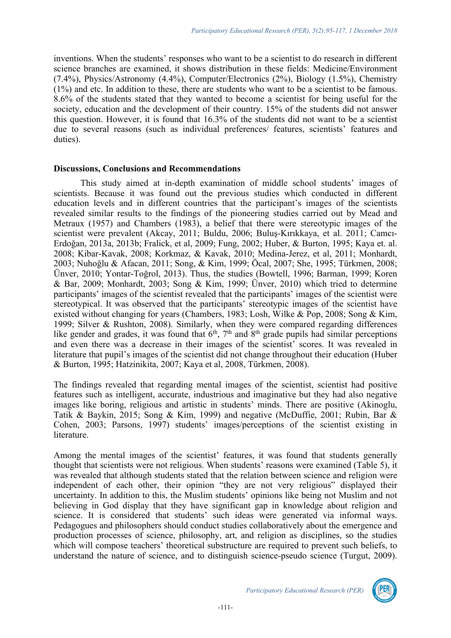inventions. When the students' responses who want to be a scientist to do research in different science branches are examined, it shows distribution in these fields: Medicine/Environment (7.4%), Physics/Astronomy (4.4%), Computer/Electronics (2%), Biology (1.5%), Chemistry (1%) and etc. In addition to these, there are students who want to be a scientist to be famous. 8.6% of the students stated that they wanted to become a scientist for being useful for the society, education and the development of their country. 15% of the students did not answer this question. However, it is found that 16.3% of the students did not want to be a scientist due to several reasons (such as individual preferences/ features, scientists' features and duties).

#### **Discussions, Conclusions and Recommendations**

This study aimed at in-depth examination of middle school students' images of scientists. Because it was found out the previous studies which conducted in different education levels and in different countries that the participant's images of the scientists revealed similar results to the findings of the pioneering studies carried out by Mead and Metraux (1957) and Chambers (1983), a belief that there were stereotypic images of the scientist were prevalent (Akcay, 2011; Buldu, 2006; Buluş-Kırıkkaya, et al. 2011; Camcı-Erdoğan, 2013a, 2013b; Fralick, et al, 2009; Fung, 2002; Huber, & Burton, 1995; Kaya et. al. 2008; Kibar-Kavak, 2008; Korkmaz, & Kavak, 2010; Medina-Jerez, et al, 2011; Monhardt, 2003; Nuhoğlu & Afacan, 2011; Song, & Kim, 1999; Öcal, 2007; She, 1995; Türkmen, 2008; Ünver, 2010; Yontar-Toğrol, 2013). Thus, the studies (Bowtell, 1996; Barman, 1999; Koren & Bar, 2009; Monhardt, 2003; Song & Kim, 1999; Ünver, 2010) which tried to determine participants' images of the scientist revealed that the participants' images of the scientist were stereotypical. It was observed that the participants' stereotypic images of the scientist have existed without changing for years (Chambers, 1983; Losh, Wilke & Pop, 2008; Song & Kim, 1999; Silver & Rushton, 2008). Similarly, when they were compared regarding differences like gender and grades, it was found that  $6<sup>th</sup>$ ,  $7<sup>th</sup>$  and  $8<sup>th</sup>$  grade pupils had similar perceptions and even there was a decrease in their images of the scientist' scores. It was revealed in literature that pupil's images of the scientist did not change throughout their education (Huber & Burton, 1995; Hatzinikita, 2007; Kaya et al, 2008, Türkmen, 2008).

The findings revealed that regarding mental images of the scientist, scientist had positive features such as intelligent, accurate, industrious and imaginative but they had also negative images like boring, religious and artistic in students' minds. There are positive (Akinoglu, Tatik & Baykin, 2015; Song & Kim, 1999) and negative (McDuffie, 2001; Rubin, Bar & Cohen, 2003; Parsons, 1997) students' images/perceptions of the scientist existing in literature.

Among the mental images of the scientist' features, it was found that students generally thought that scientists were not religious. When students' reasons were examined (Table 5), it was revealed that although students stated that the relation between science and religion were independent of each other, their opinion "they are not very religious" displayed their uncertainty. In addition to this, the Muslim students' opinions like being not Muslim and not believing in God display that they have significant gap in knowledge about religion and science. It is considered that students' such ideas were generated via informal ways. Pedagogues and philosophers should conduct studies collaboratively about the emergence and production processes of science, philosophy, art, and religion as disciplines, so the studies which will compose teachers' theoretical substructure are required to prevent such beliefs, to understand the nature of science, and to distinguish science-pseudo science (Turgut, 2009).

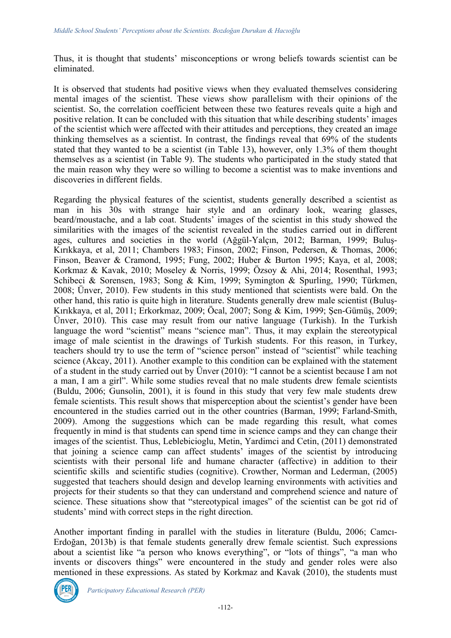Thus, it is thought that students' misconceptions or wrong beliefs towards scientist can be eliminated.

It is observed that students had positive views when they evaluated themselves considering mental images of the scientist. These views show parallelism with their opinions of the scientist. So, the correlation coefficient between these two features reveals quite a high and positive relation. It can be concluded with this situation that while describing students' images of the scientist which were affected with their attitudes and perceptions, they created an image thinking themselves as a scientist. In contrast, the findings reveal that 69% of the students stated that they wanted to be a scientist (in Table 13), however, only 1.3% of them thought themselves as a scientist (in Table 9). The students who participated in the study stated that the main reason why they were so willing to become a scientist was to make inventions and discoveries in different fields.

Regarding the physical features of the scientist, students generally described a scientist as man in his 30s with strange hair style and an ordinary look, wearing glasses, beard/moustache, and a lab coat. Students' images of the scientist in this study showed the similarities with the images of the scientist revealed in the studies carried out in different ages, cultures and societies in the world (Ağgül-Yalçın, 2012; Barman, 1999; Buluş-Kırıkkaya, et al, 2011; Chambers 1983; Finson, 2002; Finson, Pedersen, & Thomas, 2006; Finson, Beaver & Cramond, 1995; Fung, 2002; Huber & Burton 1995; Kaya, et al, 2008; Korkmaz & Kavak, 2010; Moseley & Norris, 1999; Özsoy & Ahi, 2014; Rosenthal, 1993; Schibeci & Sorensen, 1983; Song & Kim, 1999; Symington & Spurling, 1990; Türkmen, 2008; Ünver, 2010). Few students in this study mentioned that scientists were bald. On the other hand, this ratio is quite high in literature. Students generally drew male scientist (Buluş-Kırıkkaya, et al, 2011; Erkorkmaz, 2009; Öcal, 2007; Song & Kim, 1999; Şen-Gümüş, 2009; Ünver, 2010). This case may result from our native language (Turkish). In the Turkish language the word "scientist" means "science man". Thus, it may explain the stereotypical image of male scientist in the drawings of Turkish students. For this reason, in Turkey, teachers should try to use the term of "science person" instead of "scientist" while teaching science (Akcay, 2011). Another example to this condition can be explained with the statement of a student in the study carried out by Ünver (2010): "I cannot be a scientist because I am not a man, I am a girl". While some studies reveal that no male students drew female scientists (Buldu, 2006; Gunsolin, 2001), it is found in this study that very few male students drew female scientists. This result shows that misperception about the scientist's gender have been encountered in the studies carried out in the other countries (Barman, 1999; Farland-Smith, 2009). Among the suggestions which can be made regarding this result, what comes frequently in mind is that students can spend time in science camps and they can change their images of the scientist. Thus, Leblebicioglu, Metin, Yardimci and Cetin, (2011) demonstrated that joining a science camp can affect students' images of the scientist by introducing scientists with their personal life and humane character (affective) in addition to their scientific skills and scientific studies (cognitive). Crowther, Norman and Lederman, (2005) suggested that teachers should design and develop learning environments with activities and projects for their students so that they can understand and comprehend science and nature of science. These situations show that "stereotypical images" of the scientist can be got rid of students' mind with correct steps in the right direction.

Another important finding in parallel with the studies in literature (Buldu, 2006; Camcı-Erdoğan, 2013b) is that female students generally drew female scientist. Such expressions about a scientist like "a person who knows everything", or "lots of things", "a man who invents or discovers things" were encountered in the study and gender roles were also mentioned in these expressions. As stated by Korkmaz and Kavak (2010), the students must

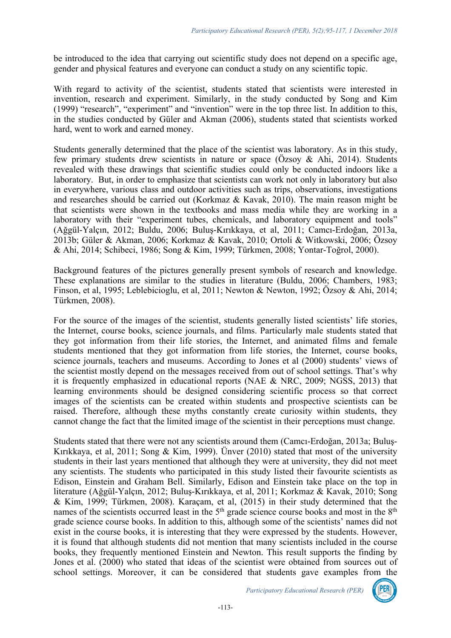be introduced to the idea that carrying out scientific study does not depend on a specific age, gender and physical features and everyone can conduct a study on any scientific topic.

With regard to activity of the scientist, students stated that scientists were interested in invention, research and experiment. Similarly, in the study conducted by Song and Kim (1999) "research", "experiment" and "invention" were in the top three list. In addition to this, in the studies conducted by Güler and Akman (2006), students stated that scientists worked hard, went to work and earned money.

Students generally determined that the place of the scientist was laboratory. As in this study, few primary students drew scientists in nature or space (Özsoy & Ahi, 2014). Students revealed with these drawings that scientific studies could only be conducted indoors like a laboratory. But, in order to emphasize that scientists can work not only in laboratory but also in everywhere, various class and outdoor activities such as trips, observations, investigations and researches should be carried out (Korkmaz & Kavak, 2010). The main reason might be that scientists were shown in the textbooks and mass media while they are working in a laboratory with their "experiment tubes, chemicals, and laboratory equipment and tools" (Ağgül-Yalçın, 2012; Buldu, 2006; Buluş-Kırıkkaya, et al, 2011; Camcı-Erdoğan, 2013a, 2013b; Güler & Akman, 2006; Korkmaz & Kavak, 2010; Ortoli & Witkowski, 2006; Özsoy & Ahi, 2014; Schibeci, 1986; Song & Kim, 1999; Türkmen, 2008; Yontar-Toğrol, 2000).

Background features of the pictures generally present symbols of research and knowledge. These explanations are similar to the studies in literature (Buldu, 2006; Chambers, 1983; Finson, et al, 1995; Leblebicioglu, et al, 2011; Newton & Newton, 1992; Özsoy & Ahi, 2014; Türkmen, 2008).

For the source of the images of the scientist, students generally listed scientists' life stories, the Internet, course books, science journals, and films. Particularly male students stated that they got information from their life stories, the Internet, and animated films and female students mentioned that they got information from life stories, the Internet, course books, science journals, teachers and museums. According to Jones et al (2000) students' views of the scientist mostly depend on the messages received from out of school settings. That's why it is frequently emphasized in educational reports (NAE & NRC, 2009; NGSS, 2013) that learning environments should be designed considering scientific process so that correct images of the scientists can be created within students and prospective scientists can be raised. Therefore, although these myths constantly create curiosity within students, they cannot change the fact that the limited image of the scientist in their perceptions must change.

Students stated that there were not any scientists around them (Camcı-Erdoğan, 2013a; Buluş-Kırıkkaya, et al, 2011; Song & Kim, 1999). Ünver (2010) stated that most of the university students in their last years mentioned that although they were at university, they did not meet any scientists. The students who participated in this study listed their favourite scientists as Edison, Einstein and Graham Bell. Similarly, Edison and Einstein take place on the top in literature (Ağgül-Yalçın, 2012; Buluş-Kırıkkaya, et al, 2011; Korkmaz & Kavak, 2010; Song & Kim, 1999; Türkmen, 2008). Karaçam, et al, (2015) in their study determined that the names of the scientists occurred least in the 5<sup>th</sup> grade science course books and most in the 8<sup>th</sup> grade science course books. In addition to this, although some of the scientists' names did not exist in the course books, it is interesting that they were expressed by the students. However, it is found that although students did not mention that many scientists included in the course books, they frequently mentioned Einstein and Newton. This result supports the finding by Jones et al. (2000) who stated that ideas of the scientist were obtained from sources out of school settings. Moreover, it can be considered that students gave examples from the

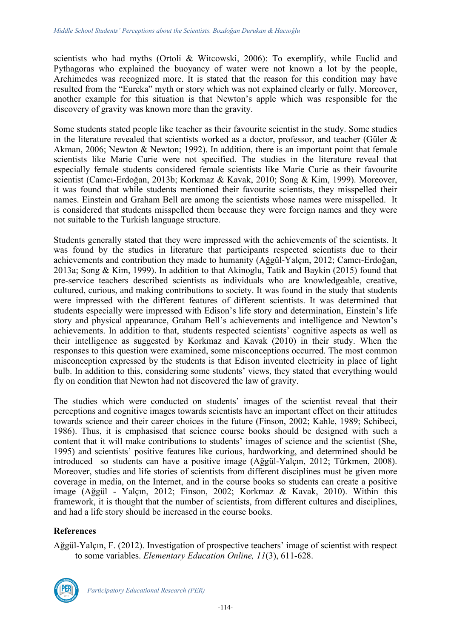scientists who had myths (Ortoli & Witcowski, 2006): To exemplify, while Euclid and Pythagoras who explained the buoyancy of water were not known a lot by the people, Archimedes was recognized more. It is stated that the reason for this condition may have resulted from the "Eureka" myth or story which was not explained clearly or fully. Moreover, another example for this situation is that Newton's apple which was responsible for the discovery of gravity was known more than the gravity.

Some students stated people like teacher as their favourite scientist in the study. Some studies in the literature revealed that scientists worked as a doctor, professor, and teacher (Güler & Akman, 2006; Newton & Newton; 1992). In addition, there is an important point that female scientists like Marie Curie were not specified. The studies in the literature reveal that especially female students considered female scientists like Marie Curie as their favourite scientist (Camcı-Erdoğan, 2013b; Korkmaz & Kavak, 2010; Song & Kim, 1999). Moreover, it was found that while students mentioned their favourite scientists, they misspelled their names. Einstein and Graham Bell are among the scientists whose names were misspelled. It is considered that students misspelled them because they were foreign names and they were not suitable to the Turkish language structure.

Students generally stated that they were impressed with the achievements of the scientists. It was found by the studies in literature that participants respected scientists due to their achievements and contribution they made to humanity (Ağgül-Yalçın, 2012; Camcı-Erdoğan, 2013a; Song & Kim, 1999). In addition to that Akinoglu, Tatik and Baykin (2015) found that pre-service teachers described scientists as individuals who are knowledgeable, creative, cultured, curious, and making contributions to society. It was found in the study that students were impressed with the different features of different scientists. It was determined that students especially were impressed with Edison's life story and determination, Einstein's life story and physical appearance, Graham Bell's achievements and intelligence and Newton's achievements. In addition to that, students respected scientists' cognitive aspects as well as their intelligence as suggested by Korkmaz and Kavak (2010) in their study. When the responses to this question were examined, some misconceptions occurred. The most common misconception expressed by the students is that Edison invented electricity in place of light bulb. In addition to this, considering some students' views, they stated that everything would fly on condition that Newton had not discovered the law of gravity.

The studies which were conducted on students' images of the scientist reveal that their perceptions and cognitive images towards scientists have an important effect on their attitudes towards science and their career choices in the future (Finson, 2002; Kahle, 1989; Schibeci, 1986). Thus, it is emphasised that science course books should be designed with such a content that it will make contributions to students' images of science and the scientist (She, 1995) and scientists' positive features like curious, hardworking, and determined should be introduced so students can have a positive image (Ağgül-Yalçın, 2012; Türkmen, 2008). Moreover, studies and life stories of scientists from different disciplines must be given more coverage in media, on the Internet, and in the course books so students can create a positive image (Ağgül - Yalçın, 2012; Finson, 2002; Korkmaz & Kavak, 2010). Within this framework, it is thought that the number of scientists, from different cultures and disciplines, and had a life story should be increased in the course books.

### **References**

Ağgül-Yalçın, F. (2012). Investigation of prospective teachers' image of scientist with respect to some variables. *Elementary Education Online, 11*(3), 611-628.



*Participatory Educational Research (PER)*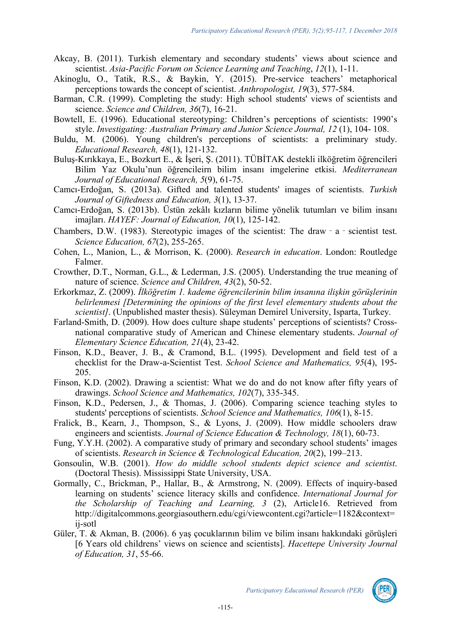- Akcay, B. (2011). Turkish elementary and secondary students' views about science and scientist. *Asia-Pacific Forum on Science Learning and Teaching*, *12*(1), 1-11.
- Akinoglu, O., Tatik, R.S., & Baykin, Y. (2015). Pre-service teachers' metaphorical perceptions towards the concept of scientist. *Anthropologist, 19*(3), 577-584.
- Barman, C.R. (1999). Completing the study: High school students' views of scientists and science. *Science and Children, 36*(7), 16-21.
- Bowtell, E. (1996). Educational stereotyping: Children's perceptions of scientists: 1990's style. *Investigating: Australian Primary and Junior Science Journal, 12* (1), 104- 108.
- Buldu, M. (2006). Young children's perceptions of scientists: a preliminary study. *Educational Research, 48*(1), 121-132.
- Buluş-Kırıkkaya, E., Bozkurt E., & İşeri, Ş. (2011). TÜBİTAK destekli ilköğretim öğrencileri Bilim Yaz Okulu'nun öğrencileirn bilim insanı imgelerine etkisi. *Mediterranean Journal of Educational Research, 5*(9), 61-75.
- Camcı-Erdoğan, S. (2013a). Gifted and talented students' images of scientists. *Turkish Journal of Giftedness and Education, 3*(1), 13-37.
- Camcı-Erdoğan, S. (2013b). Üstün zekâlı kızların bilime yönelik tutumları ve bilim insanı imajları. *HAYEF: Journal of Education, 10*(1), 125-142.
- Chambers, D.W. (1983). Stereotypic images of the scientist: The draw  $-$  a  $-$  scientist test. *Science Education, 67*(2), 255-265.
- Cohen, L., Manion, L., & Morrison, K. (2000). *Research in education*. London: Routledge Falmer.
- Crowther, D.T., Norman, G.L., & Lederman, J.S. (2005). Understanding the true meaning of nature of science. *Science and Children, 43*(2), 50-52.
- Erkorkmaz, Z. (2009). *İlköğretim 1. kademe öğrencilerinin bilim insanına ilişkin görüşlerinin belirlenmesi [Determining the opinions of the first level elementary students about the scientist]*. (Unpublished master thesis). Süleyman Demirel University, Isparta, Turkey.
- Farland-Smith, D. (2009). How does culture shape students' perceptions of scientists? Crossnational comparative study of American and Chinese elementary students. *Journal of Elementary Science Education, 21*(4), 23-42.
- Finson, K.D., Beaver, J. B., & Cramond, B.L. (1995). Development and field test of a checklist for the Draw-a-Scientist Test. *School Science and Mathematics, 95*(4), 195- 205.
- Finson, K.D. (2002). Drawing a scientist: What we do and do not know after fifty years of drawings. *School Science and Mathematics, 102*(7), 335-345.
- Finson, K.D., Pedersen, J., & Thomas, J. (2006). Comparing science teaching styles to students' perceptions of scientists. *School Science and Mathematics, 106*(1), 8-15.
- Fralick, B., Kearn, J., Thompson, S., & Lyons, J. (2009). How middle schoolers draw engineers and scientists. *Journal of Science Education & Technology, 18*(1), 60-73.
- Fung, Y.Y.H. (2002). A comparative study of primary and secondary school students' images of scientists. *Research in Science & Technological Education, 20*(2), 199–213.
- Gonsoulin, W.B. (2001). *How do middle school students depict science and scientist*. (Doctoral Thesis). Mississippi State University, USA.
- Gormally, C., Brickman, P., Hallar, B., & Armstrong, N. (2009). Effects of inquiry-based learning on students' science literacy skills and confidence. *International Journal for the Scholarship of Teaching and Learning, 3* (2), Article16. Retrieved from http://digitalcommons.georgiasouthern.edu/cgi/viewcontent.cgi?article=1182&context= ij-sotl
- Güler, T. & Akman, B. (2006). 6 yaş çocuklarının bilim ve bilim insanı hakkındaki görüşleri [6 Years old childrens' views on science and scientists]. *Hacettepe University Journal of Education, 31*, 55-66.

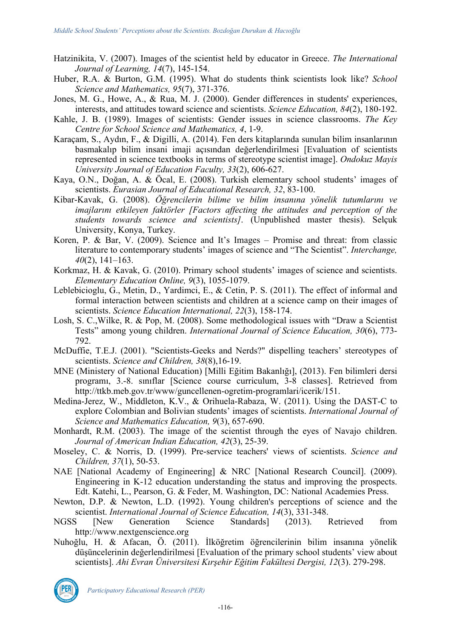- Hatzinikita, V. (2007). Images of the scientist held by educator in Greece. *The International Journal of Learning, 14*(7), 145-154.
- Huber, R.A. & Burton, G.M. (1995). What do students think scientists look like? *School Science and Mathematics, 95*(7), 371-376.
- Jones, M. G., Howe, A., & Rua, M. J. (2000). Gender differences in students' experiences, interests, and attitudes toward science and scientists. *Science Education, 84*(2), 180-192.
- Kahle, J. B. (1989). Images of scientists: Gender issues in science classrooms. *The Key Centre for School Science and Mathematics, 4*, 1-9.
- Karaçam, S., Aydın, F., & Digilli, A. (2014). Fen ders kitaplarında sunulan bilim insanlarının basmakalıp bilim insani imaji açısından değerlendirilmesi [Evaluation of scientists represented in science textbooks in terms of stereotype scientist image]. *Ondokuz Mayis University Journal of Education Faculty, 33*(2), 606-627.
- Kaya, O.N., Doğan, A. & Öcal, E. (2008). Turkish elementary school students' images of scientists. *Eurasian Journal of Educational Research, 32*, 83-100.
- Kibar-Kavak, G. (2008). *Öğrencilerin bilime ve bilim insanına yönelik tutumlarını ve imajlarını etkileyen faktörler [Factors affecting the attitudes and perception of the students towards science and scientists]*. (Unpublished master thesis). Selçuk University, Konya, Turkey.
- Koren, P. & Bar, V. (2009). Science and It's Images Promise and threat: from classic literature to contemporary students' images of science and "The Scientist". *Interchange, 40*(2), 141–163.
- Korkmaz, H. & Kavak, G. (2010). Primary school students' images of science and scientists. *Elementary Education Online, 9*(3), 1055-1079.
- Leblebicioglu, G., Metin, D., Yardimci, E., & Cetin, P. S. (2011). The effect of informal and formal interaction between scientists and children at a science camp on their images of scientists. *Science Education International, 22*(3), 158-174.
- Losh, S. C.,Wilke, R. & Pop, M. (2008). Some methodological issues with "Draw a Scientist Tests" among young children. *International Journal of Science Education, 30*(6), 773- 792.
- McDuffie, T.E.J. (2001). "Scientists-Geeks and Nerds?" dispelling teachers' stereotypes of scientists. *Science and Children, 38*(8),16-19.
- MNE (Ministery of National Education) [Milli Eğitim Bakanlığı], (2013). Fen bilimleri dersi programı, 3.-8. sınıflar [Science course curriculum, 3-8 classes]. Retrieved from http://ttkb.meb.gov.tr/www/guncellenen-ogretim-programlari/icerik/151.
- Medina-Jerez, W., Middleton, K.V., & Orihuela-Rabaza, W. (2011). Using the DAST-C to explore Colombian and Bolivian students' images of scientists. *International Journal of Science and Mathematics Education, 9*(3), 657-690.
- Monhardt, R.M. (2003). The image of the scientist through the eyes of Navajo children. *Journal of American Indian Education, 42*(3), 25-39.
- Moseley, C. & Norris, D. (1999). Pre-service teachers' views of scientists. *Science and Children, 37*(1), 50-53.
- NAE [National Academy of Engineering] & NRC [National Research Council]. (2009). Engineering in K-12 education understanding the status and improving the prospects. Edt. Katehi, L., Pearson, G. & Feder, M. Washington, DC: National Academies Press.
- Newton, D.P. & Newton, L.D. (1992). Young children's perceptions of science and the scientist. *International Journal of Science Education, 14*(3), 331-348.
- NGSS [New Generation Science Standards] (2013). Retrieved from http://www.nextgenscience.org
- Nuhoğlu, H. & Afacan, Ö. (2011). İlköğretim öğrencilerinin bilim insanına yönelik düşüncelerinin değerlendirilmesi [Evaluation of the primary school students' view about scientists]. *Ahi Evran Üniversitesi Kırşehir Eğitim Fakültesi Dergisi, 12*(3). 279-298.



*Participatory Educational Research (PER)*